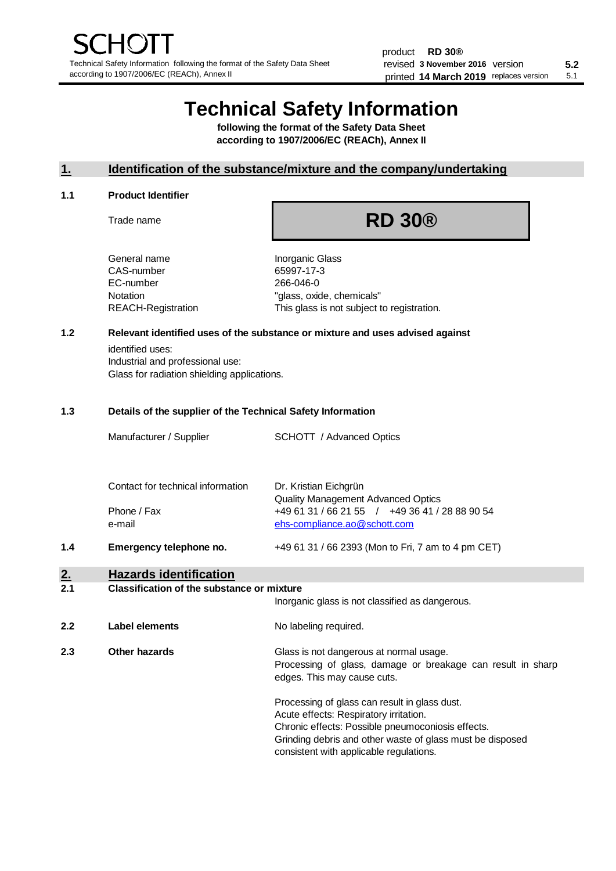# **Technical Safety Information**

**following the format of the Safety Data Sheet according to 1907/2006/EC (REACh), Annex II**

# **1. Identification of the substance/mixture and the company/undertaking**

#### **1.1 Product Identifier**

Trade name

# **RD 30®**

General name **Inorganic Glass** CAS-number 65997-17-3 EC-number 266-046-0

Notation "glass, oxide, chemicals" REACH-Registration This glass is not subject to registration.

# **1.2 Relevant identified uses of the substance or mixture and uses advised against**

identified uses: Industrial and professional use: Glass for radiation shielding applications.

#### **1.3 Details of the supplier of the Technical Safety Information**

|                  | Manufacturer / Supplier                                    | SCHOTT / Advanced Optics                                                                                                                                                                                                                             |  |  |
|------------------|------------------------------------------------------------|------------------------------------------------------------------------------------------------------------------------------------------------------------------------------------------------------------------------------------------------------|--|--|
|                  | Contact for technical information<br>Phone / Fax<br>e-mail | Dr. Kristian Eichgrün<br><b>Quality Management Advanced Optics</b><br>+49 61 31 / 66 21 55 / +49 36 41 / 28 88 90 54<br>ehs-compliance.ao@schott.com                                                                                                 |  |  |
| 1.4              | Emergency telephone no.                                    | +49 61 31 / 66 2393 (Mon to Fri, 7 am to 4 pm CET)                                                                                                                                                                                                   |  |  |
| <u>2.</u><br>2.1 | <b>Hazards identification</b>                              |                                                                                                                                                                                                                                                      |  |  |
|                  | <b>Classification of the substance or mixture</b>          |                                                                                                                                                                                                                                                      |  |  |
|                  |                                                            | Inorganic glass is not classified as dangerous.                                                                                                                                                                                                      |  |  |
| 2.2              | <b>Label elements</b>                                      | No labeling required.                                                                                                                                                                                                                                |  |  |
| 2.3              | Other hazards                                              | Glass is not dangerous at normal usage.<br>Processing of glass, damage or breakage can result in sharp<br>edges. This may cause cuts.                                                                                                                |  |  |
|                  |                                                            | Processing of glass can result in glass dust.<br>Acute effects: Respiratory irritation.<br>Chronic effects: Possible pneumoconiosis effects.<br>Grinding debris and other waste of glass must be disposed<br>consistent with applicable regulations. |  |  |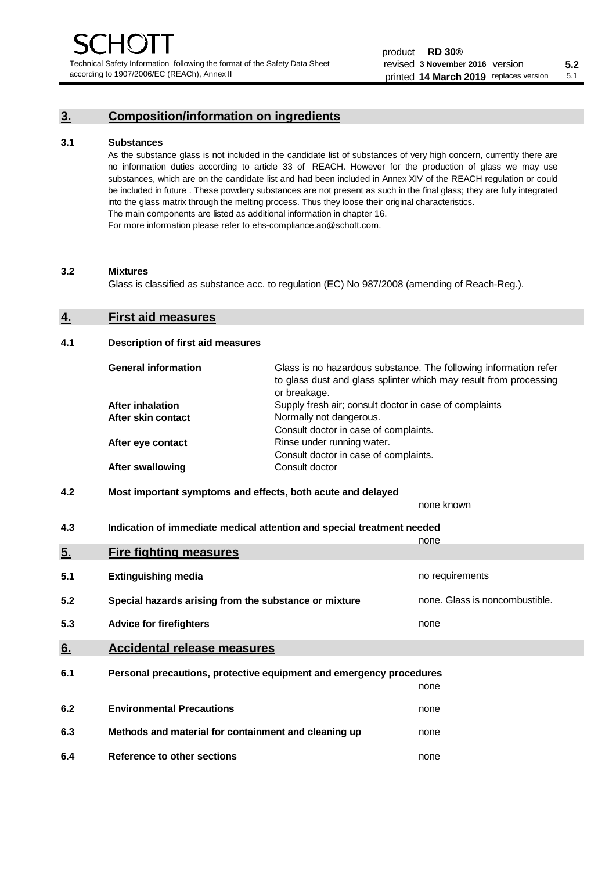Technical Safety Information following the format of the Safety Data Sheet according to 1907/2006/EC (REACh), Annex II

# **3. Composition/information on ingredients**

### **3.1 Substances**

As the substance glass is not included in the candidate list of substances of very high concern, currently there are no information duties according to article 33 of REACH. However for the production of glass we may use substances, which are on the candidate list and had been included in Annex XIV of the REACH regulation or could be included in future . These powdery substances are not present as such in the final glass; they are fully integrated into the glass matrix through the melting process. Thus they loose their original characteristics. The main components are listed as additional information in chapter 16. For more information please refer to ehs-compliance.ao@schott.com.

#### **3.2 Mixtures**

Glass is classified as substance acc. to regulation (EC) No 987/2008 (amending of Reach-Reg.).

# **4. First aid measures**

#### **4.1 Description of first aid measures**

| <b>General information</b> | Glass is no hazardous substance. The following information refer<br>to glass dust and glass splinter which may result from processing<br>or breakage. |
|----------------------------|-------------------------------------------------------------------------------------------------------------------------------------------------------|
| <b>After inhalation</b>    | Supply fresh air; consult doctor in case of complaints                                                                                                |
| After skin contact         | Normally not dangerous.                                                                                                                               |
|                            | Consult doctor in case of complaints.                                                                                                                 |
| After eye contact          | Rinse under running water.                                                                                                                            |
|                            | Consult doctor in case of complaints.                                                                                                                 |
| <b>After swallowing</b>    | Consult doctor                                                                                                                                        |

# **4.2 Most important symptoms and effects, both acute and delayed**

none known **4.3 Indication of immediate medical attention and special treatment needed** 

|     |                                                                     | none                           |
|-----|---------------------------------------------------------------------|--------------------------------|
| 5.  | <b>Fire fighting measures</b>                                       |                                |
| 5.1 | <b>Extinguishing media</b>                                          | no requirements                |
| 5.2 | Special hazards arising from the substance or mixture               | none. Glass is noncombustible. |
| 5.3 | <b>Advice for firefighters</b>                                      | none                           |
| 6.  | <b>Accidental release measures</b>                                  |                                |
| 6.1 | Personal precautions, protective equipment and emergency procedures |                                |
|     |                                                                     | none                           |
| 6.2 | <b>Environmental Precautions</b>                                    | none                           |
| 6.3 | Methods and material for containment and cleaning up                | none                           |
| 6.4 | Reference to other sections                                         | none                           |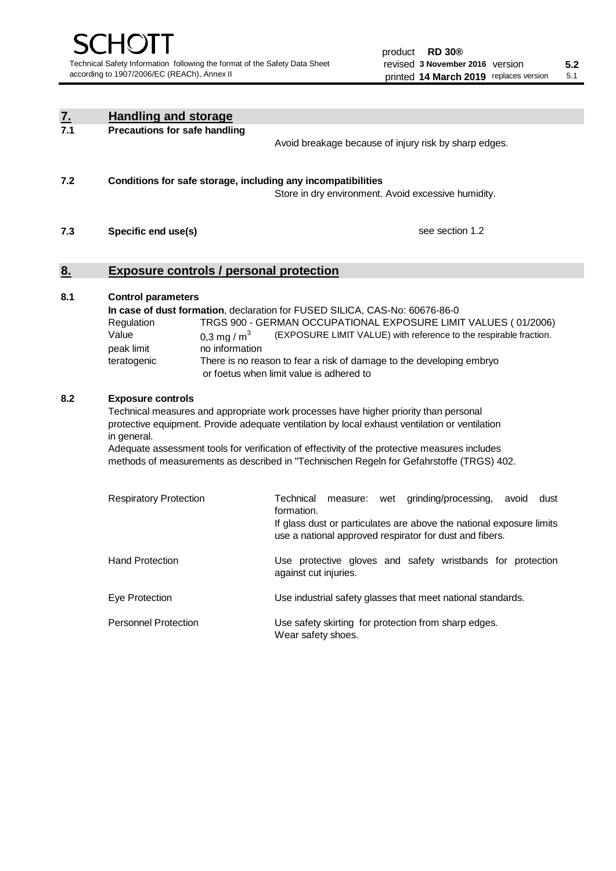| <u>z.</u> | <b>Handling and storage</b>                                                                                                                                                                                                                                                                                                                                                                                                    |                                                                                                                                                                                                                                                                                                                                        |  |  |  |
|-----------|--------------------------------------------------------------------------------------------------------------------------------------------------------------------------------------------------------------------------------------------------------------------------------------------------------------------------------------------------------------------------------------------------------------------------------|----------------------------------------------------------------------------------------------------------------------------------------------------------------------------------------------------------------------------------------------------------------------------------------------------------------------------------------|--|--|--|
| 7.1       | <b>Precautions for safe handling</b>                                                                                                                                                                                                                                                                                                                                                                                           | Avoid breakage because of injury risk by sharp edges.                                                                                                                                                                                                                                                                                  |  |  |  |
| 7.2       | Conditions for safe storage, including any incompatibilities                                                                                                                                                                                                                                                                                                                                                                   | Store in dry environment. Avoid excessive humidity.                                                                                                                                                                                                                                                                                    |  |  |  |
| 7.3       | Specific end use(s)                                                                                                                                                                                                                                                                                                                                                                                                            | see section 1.2                                                                                                                                                                                                                                                                                                                        |  |  |  |
| 8.        |                                                                                                                                                                                                                                                                                                                                                                                                                                | <b>Exposure controls / personal protection</b>                                                                                                                                                                                                                                                                                         |  |  |  |
| 8.1       | <b>Control parameters</b><br>Regulation<br>Value<br>0,3 mg / $m3$<br>peak limit<br>no information<br>teratogenic                                                                                                                                                                                                                                                                                                               | In case of dust formation, declaration for FUSED SILICA, CAS-No: 60676-86-0<br>TRGS 900 - GERMAN OCCUPATIONAL EXPOSURE LIMIT VALUES (01/2006)<br>(EXPOSURE LIMIT VALUE) with reference to the respirable fraction.<br>There is no reason to fear a risk of damage to the developing embryo<br>or foetus when limit value is adhered to |  |  |  |
| 8.2       | <b>Exposure controls</b><br>Technical measures and appropriate work processes have higher priority than personal<br>protective equipment. Provide adequate ventilation by local exhaust ventilation or ventilation<br>in general.<br>Adequate assessment tools for verification of effectivity of the protective measures includes<br>methods of measurements as described in "Technischen Regeln for Gefahrstoffe (TRGS) 402. |                                                                                                                                                                                                                                                                                                                                        |  |  |  |
|           | <b>Respiratory Protection</b>                                                                                                                                                                                                                                                                                                                                                                                                  | Technical<br>grinding/processing,<br>dust<br>measure: wet<br>avoid<br>formation.<br>If glass dust or particulates are above the national exposure limits<br>use a national approved respirator for dust and fibers.                                                                                                                    |  |  |  |
|           | <b>Hand Protection</b>                                                                                                                                                                                                                                                                                                                                                                                                         | Use protective gloves and safety wristbands for protection<br>against cut injuries.                                                                                                                                                                                                                                                    |  |  |  |
|           | Eye Protection                                                                                                                                                                                                                                                                                                                                                                                                                 | Use industrial safety glasses that meet national standards.                                                                                                                                                                                                                                                                            |  |  |  |
|           | <b>Personnel Protection</b>                                                                                                                                                                                                                                                                                                                                                                                                    | Use safety skirting for protection from sharp edges.<br>Wear safety shoes.                                                                                                                                                                                                                                                             |  |  |  |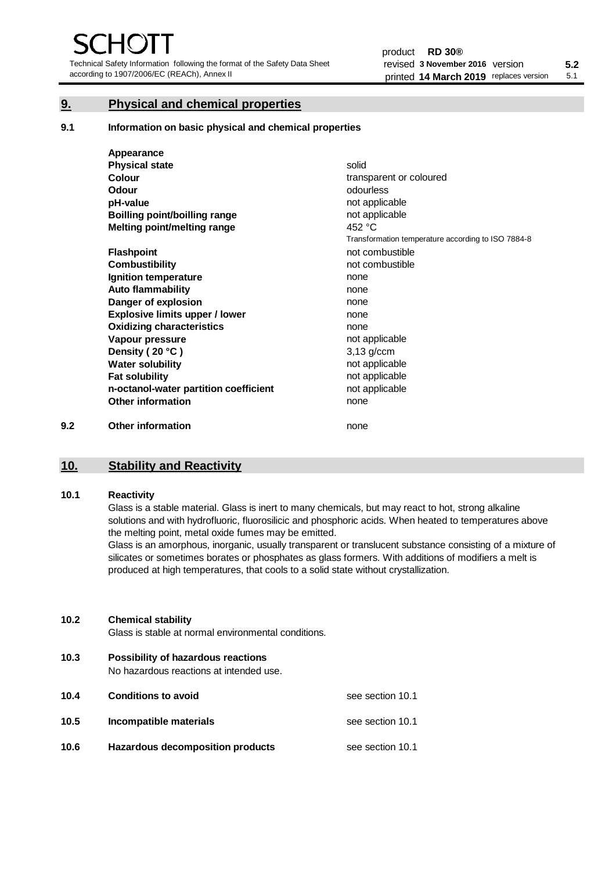Technical Safety Information following the format of the Safety Data Sheet according to 1907/2006/EC (REACh), Annex II

# **9. Physical and chemical properties**

**9.1 Information on basic physical and chemical properties**

|     | Appearance                            |                                                    |
|-----|---------------------------------------|----------------------------------------------------|
|     | <b>Physical state</b>                 | solid                                              |
|     | <b>Colour</b>                         | transparent or coloured                            |
|     | Odour                                 | odourless                                          |
|     | pH-value                              | not applicable                                     |
|     | <b>Boilling point/boilling range</b>  | not applicable                                     |
|     | Melting point/melting range           | 452 °C                                             |
|     |                                       | Transformation temperature according to ISO 7884-8 |
|     | <b>Flashpoint</b>                     | not combustible                                    |
|     | <b>Combustibility</b>                 | not combustible                                    |
|     | Ignition temperature                  | none                                               |
|     | <b>Auto flammability</b>              | none                                               |
|     | Danger of explosion                   | none                                               |
|     | <b>Explosive limits upper / lower</b> | none                                               |
|     | <b>Oxidizing characteristics</b>      | none                                               |
|     | Vapour pressure                       | not applicable                                     |
|     | Density (20 °C)                       | $3,13$ g/ccm                                       |
|     | <b>Water solubility</b>               | not applicable                                     |
|     | <b>Fat solubility</b>                 | not applicable                                     |
|     | n-octanol-water partition coefficient | not applicable                                     |
|     | <b>Other information</b>              | none                                               |
| 9.2 | <b>Other information</b>              | none                                               |

# **10. Stability and Reactivity**

## **10.1 Reactivity**

Glass is a stable material. Glass is inert to many chemicals, but may react to hot, strong alkaline solutions and with hydrofluoric, fluorosilicic and phosphoric acids. When heated to temperatures above the melting point, metal oxide fumes may be emitted.

Glass is an amorphous, inorganic, usually transparent or translucent substance consisting of a mixture of silicates or sometimes borates or phosphates as glass formers. With additions of modifiers a melt is produced at high temperatures, that cools to a solid state without crystallization.

## **10.2 Chemical stability**

Glass is stable at normal environmental conditions.

**10.3 Possibility of hazardous reactions** 

No hazardous reactions at intended use.

| 10.4 | <b>Conditions to avoid</b>       | see section 10.1 |
|------|----------------------------------|------------------|
| 10.5 | Incompatible materials           | see section 10.1 |
| 10.6 | Hazardous decomposition products | see section 10.1 |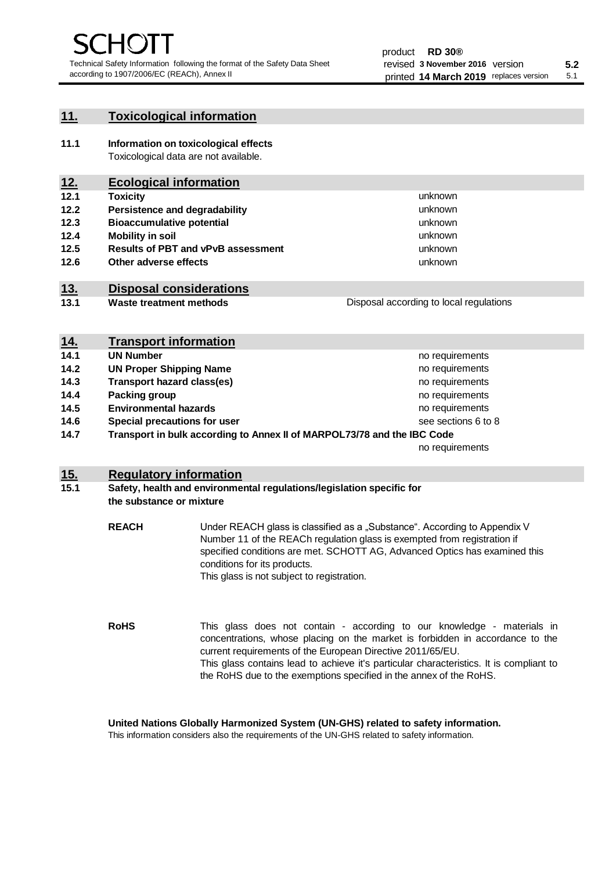unknown unknown unknown

unknown unknown unknown

Disposal according to local regulations

# **11. Toxicological information**

**11.1 Information on toxicological effects** Toxicological data are not available.

# **12. Ecological information**

- **12.1 Toxicity**
- **12.2 Persistence and degradability**
- **12.3 Bioaccumulative potential**
- **12.4 Mobility in soil**
- **12.5 Results of PBT and vPvB assessment**
- **12.6 Other adverse effects**

# **13. Disposal considerations**

**13.1 Waste treatment methods**

| <u>14.</u> | <b>Transport information</b>                                            |                     |
|------------|-------------------------------------------------------------------------|---------------------|
| 14.1       | <b>UN Number</b>                                                        | no requirements     |
| 14.2       | <b>UN Proper Shipping Name</b>                                          | no requirements     |
| 14.3       | <b>Transport hazard class(es)</b>                                       | no requirements     |
| 14.4       | Packing group                                                           | no requirements     |
| 14.5       | <b>Environmental hazards</b>                                            | no requirements     |
| 14.6       | Special precautions for user                                            | see sections 6 to 8 |
| 14.7       | Transport in bulk according to Annex II of MARPOL73/78 and the IBC Code |                     |
|            |                                                                         | no requirements     |

# **15. Regulatory information**

## **15.1 Safety, health and environmental regulations/legislation specific for the substance or mixture**

**REACH** Under REACH glass is classified as a "Substance". According to Appendix V Number 11 of the REACh regulation glass is exempted from registration if specified conditions are met. SCHOTT AG, Advanced Optics has examined this conditions for its products. This glass is not subject to registration.

**RoHS** This glass does not contain - according to our knowledge - materials in concentrations, whose placing on the market is forbidden in accordance to the current requirements of the European Directive 2011/65/EU. This glass contains lead to achieve it's particular characteristics. It is compliant to the RoHS due to the exemptions specified in the annex of the RoHS.

**United Nations Globally Harmonized System (UN-GHS) related to safety information.**

This information considers also the requirements of the UN-GHS related to safety information.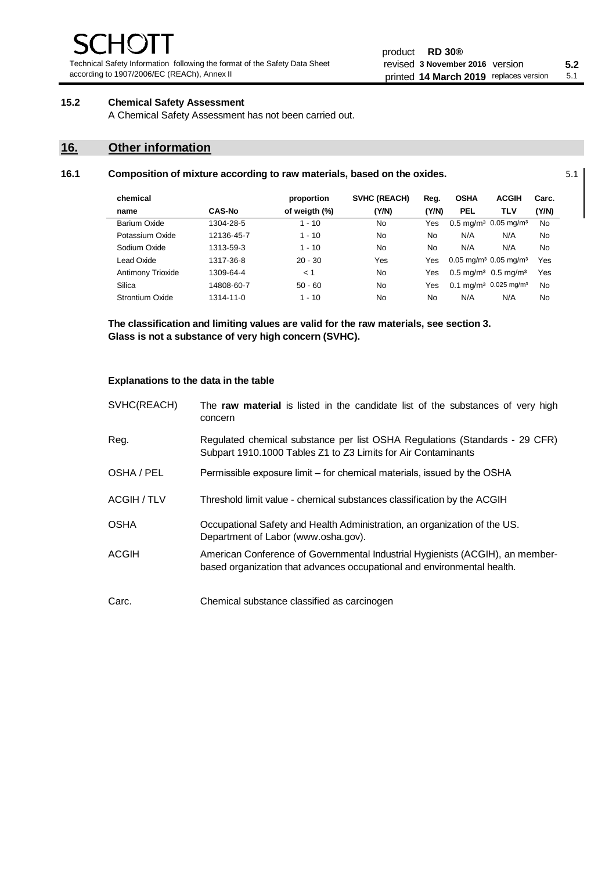Technical Safety Information following the format of the Safety Data Sheet according to 1907/2006/EC (REACh), Annex II

#### product **RD 30®** revised **5.2 3 November 2016** version printed 14 March 2019 replaces version 5.1

# **15.2 Chemical Safety Assessment**

A Chemical Safety Assessment has not been carried out.

# **16. Other information**

| 16.1 | Composition of mixture according to raw materials, based on the oxides. |  |
|------|-------------------------------------------------------------------------|--|
|------|-------------------------------------------------------------------------|--|

| chemical          |               | proportion    | SVHC (REACH) | Reg.  | <b>OSHA</b>                                     | <b>ACGIH</b>                                  | Carc.     |
|-------------------|---------------|---------------|--------------|-------|-------------------------------------------------|-----------------------------------------------|-----------|
| name              | <b>CAS-No</b> | of weigth (%) | (Y/N)        | (Y/N) | <b>PEL</b>                                      | <b>TLV</b>                                    | (Y/N)     |
| Barium Oxide      | 1304-28-5     | $1 - 10$      | No           | Yes   |                                                 | $0.5 \text{ mg/m}^3$ 0.05 mg/m <sup>3</sup>   | <b>No</b> |
| Potassium Oxide   | 12136-45-7    | $1 - 10$      | No           | No    | N/A                                             | N/A                                           | No        |
| Sodium Oxide      | 1313-59-3     | $1 - 10$      | No.          | No    | N/A                                             | N/A                                           | No        |
| Lead Oxide        | 1317-36-8     | $20 - 30$     | Yes          | Yes   | $0.05$ mg/m <sup>3</sup> 0.05 mg/m <sup>3</sup> |                                               | Yes       |
| Antimony Trioxide | 1309-64-4     | < 1           | No           | Yes   | $0.5 \text{ mq/m}^3$ 0.5 mg/m <sup>3</sup>      |                                               | Yes       |
| Silica            | 14808-60-7    | $50 - 60$     | No           | Yes   |                                                 | 0.1 mg/m <sup>3</sup> 0.025 mg/m <sup>3</sup> | <b>No</b> |
| Strontium Oxide   | 1314-11-0     | $1 - 10$      | No           | No    | N/A                                             | N/A                                           | No        |

**The classification and limiting values are valid for the raw materials, see section 3. Glass is not a substance of very high concern (SVHC).**

#### **Explanations to the data in the table**

| SVHC(REACH) | The raw material is listed in the candidate list of the substances of very high<br>concern                                                               |
|-------------|----------------------------------------------------------------------------------------------------------------------------------------------------------|
| Reg.        | Regulated chemical substance per list OSHA Regulations (Standards - 29 CFR)<br>Subpart 1910.1000 Tables Z1 to Z3 Limits for Air Contaminants             |
| OSHA / PEL  | Permissible exposure limit - for chemical materials, issued by the OSHA                                                                                  |
| ACGIH / TLV | Threshold limit value - chemical substances classification by the ACGIH                                                                                  |
| <b>OSHA</b> | Occupational Safety and Health Administration, an organization of the US.<br>Department of Labor (www.osha.gov).                                         |
| ACGIH       | American Conference of Governmental Industrial Hygienists (ACGIH), an member-<br>based organization that advances occupational and environmental health. |
| Carc.       | Chemical substance classified as carcinogen                                                                                                              |